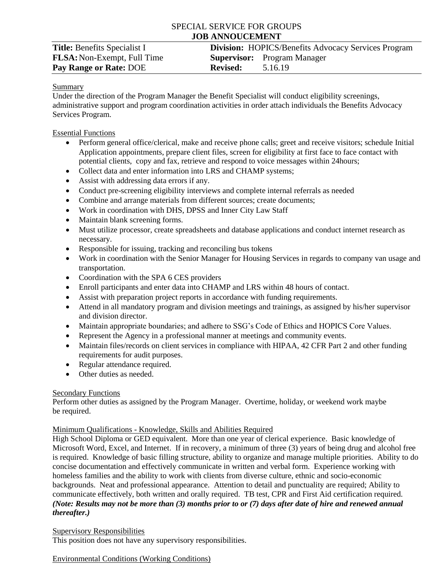# SPECIAL SERVICE FOR GROUPS **JOB ANNOUCEMENT**

| <b>Title:</b> Benefits Specialist I |
|-------------------------------------|
| <b>FLSA:</b> Non-Exempt, Full Time  |
| <b>Pay Range or Rate: DOE</b>       |

## **Division:** HOPICS/Benefits Advocacy Services Program **Supervisor:** Program Manager **Revised:** 5.16.19

### Summary

Under the direction of the Program Manager the Benefit Specialist will conduct eligibility screenings, administrative support and program coordination activities in order attach individuals the Benefits Advocacy Services Program.

### Essential Functions

- Perform general office/clerical, make and receive phone calls; greet and receive visitors; schedule Initial Application appointments, prepare client files, screen for eligibility at first face to face contact with potential clients, copy and fax, retrieve and respond to voice messages within 24hours;
- Collect data and enter information into LRS and CHAMP systems;
- Assist with addressing data errors if any.
- Conduct pre-screening eligibility interviews and complete internal referrals as needed
- Combine and arrange materials from different sources; create documents;
- Work in coordination with DHS, DPSS and Inner City Law Staff
- Maintain blank screening forms.
- Must utilize processor, create spreadsheets and database applications and conduct internet research as necessary.
- Responsible for issuing, tracking and reconciling bus tokens
- Work in coordination with the Senior Manager for Housing Services in regards to company van usage and transportation.
- Coordination with the SPA 6 CES providers
- Enroll participants and enter data into CHAMP and LRS within 48 hours of contact.
- Assist with preparation project reports in accordance with funding requirements.
- Attend in all mandatory program and division meetings and trainings, as assigned by his/her supervisor and division director.
- Maintain appropriate boundaries; and adhere to SSG's Code of Ethics and HOPICS Core Values.
- Represent the Agency in a professional manner at meetings and community events.
- Maintain files/records on client services in compliance with HIPAA, 42 CFR Part 2 and other funding requirements for audit purposes.
- Regular attendance required.
- Other duties as needed.

### **Secondary Functions**

Perform other duties as assigned by the Program Manager. Overtime, holiday, or weekend work maybe be required.

### Minimum Qualifications - Knowledge, Skills and Abilities Required

High School Diploma or GED equivalent. More than one year of clerical experience. Basic knowledge of Microsoft Word, Excel, and Internet. If in recovery, a minimum of three (3) years of being drug and alcohol free is required. Knowledge of basic filling structure, ability to organize and manage multiple priorities. Ability to do concise documentation and effectively communicate in written and verbal form. Experience working with homeless families and the ability to work with clients from diverse culture, ethnic and socio-economic backgrounds. Neat and professional appearance. Attention to detail and punctuality are required; Ability to communicate effectively, both written and orally required. TB test, CPR and First Aid certification required. *(Note: Results may not be more than (3) months prior to or (7) days after date of hire and renewed annual thereafter.)*

### Supervisory Responsibilities

This position does not have any supervisory responsibilities.

### Environmental Conditions (Working Conditions)